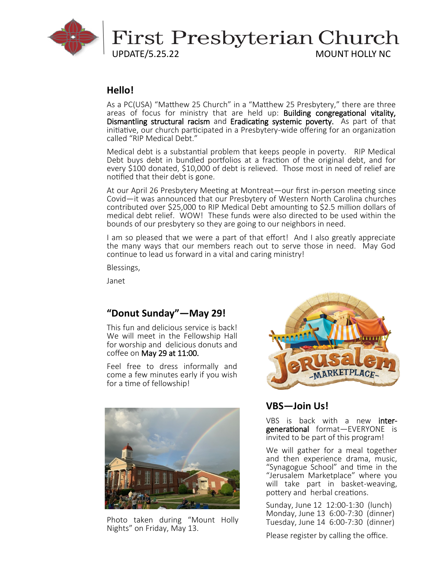

# **Hello!**

As a PC(USA) "Matthew 25 Church" in a "Matthew 25 Presbytery," there are three areas of focus for ministry that are held up: Building congregational vitality, Dismantling structural racism and Eradicating systemic poverty. As part of that initiative, our church participated in a Presbytery-wide offering for an organization called "RIP Medical Debt."

Medical debt is a substantial problem that keeps people in poverty. RIP Medical Debt buys debt in bundled portfolios at a fraction of the original debt, and for every \$100 donated, \$10,000 of debt is relieved. Those most in need of relief are notified that their debt is gone.

At our April 26 Presbytery Meeting at Montreat—our first in-person meeting since Covid—it was announced that our Presbytery of Western North Carolina churches contributed over \$25,000 to RIP Medical Debt amounting to \$2.5 million dollars of medical debt relief. WOW! These funds were also directed to be used within the bounds of our presbytery so they are going to our neighbors in need.

I am so pleased that we were a part of that effort! And I also greatly appreciate the many ways that our members reach out to serve those in need. May God continue to lead us forward in a vital and caring ministry!

Blessings,

Janet

# **"Donut Sunday"—May 29!**

This fun and delicious service is back! We will meet in the Fellowship Hall for worship and delicious donuts and coffee on May 29 at 11:00.

Feel free to dress informally and come a few minutes early if you wish for a time of fellowship!



Photo taken during "Mount Holly Nights" on Friday, May 13.



# **VBS—Join Us!**

VBS is back with a new intergenerational format—EVERYONE is invited to be part of this program!

We will gather for a meal together and then experience drama, music, "Synagogue School" and time in the "Jerusalem Marketplace" where you will take part in basket-weaving, pottery and herbal creations.

Sunday, June 12 12:00-1:30 (lunch) Monday, June 13 6:00-7:30 (dinner) Tuesday, June 14 6:00-7:30 (dinner)

Please register by calling the office.